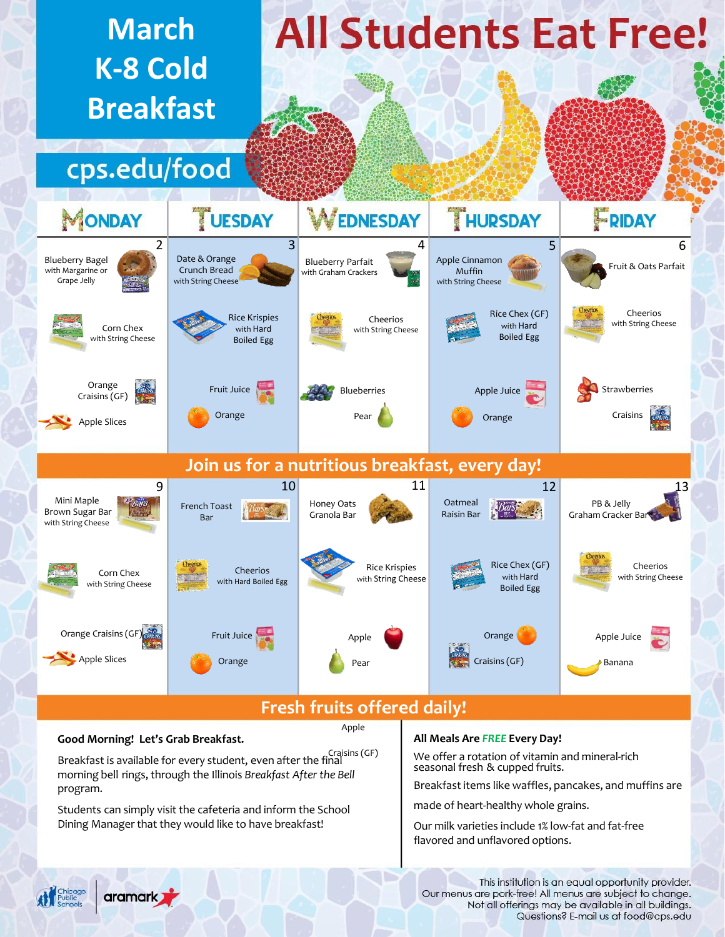

# **Good Morning! Let's Grab Breakfast.**

# Apple

Breakfast is available for every student, even after the final Craisins (GF) morning bell rings, through the Illinois *Breakfast After the Bell* program.

Students can simply visit the cafeteria and inform the School Dining Manager that they would like to have breakfast!

## **All Meals Are** *FREE* **Every Day!**

We offer a rotation of vitamin and mineral-rich seasonal fresh & cupped fruits.

Breakfast items like waffles, pancakes, and muffins are

made of heart-healthy whole grains.

Our milk varieties include 1% low-fat and fat-free flavored and unflavored options.



This institution is an equal opportunity provider. Our menus are pork-free! All menus are subject to change. Not all offerings may be available in all buildings. Questions? E-mail us at food@cps.edu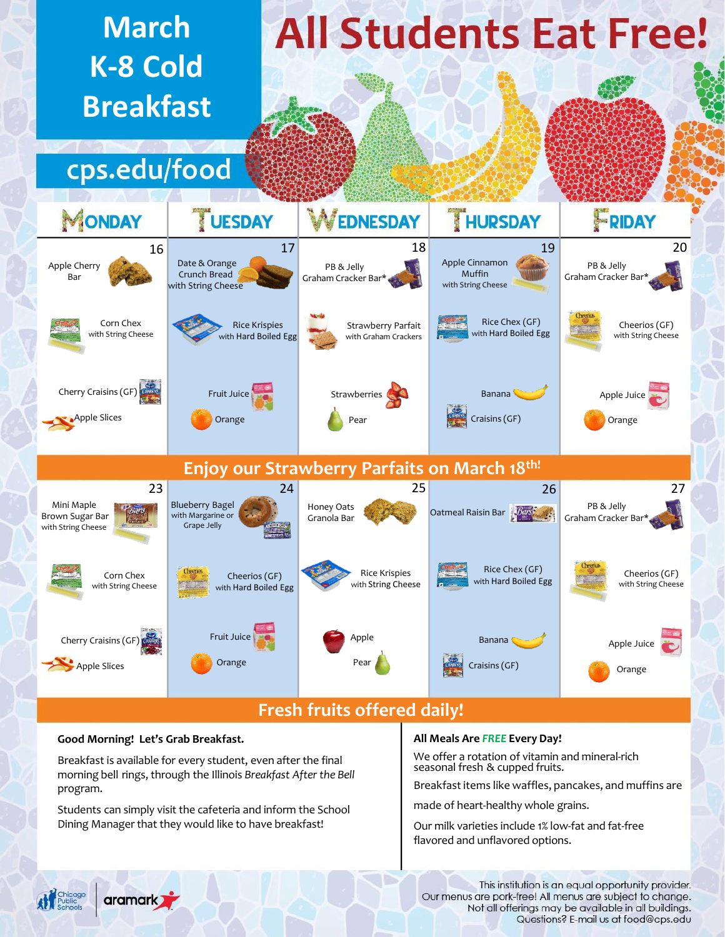

# **Good Morning! Let's Grab Breakfast.**

aramark<sub>2</sub>

Breakfast is available for every student, even after the final morning bell rings, through the Illinois *Breakfast After the Bell* program.

Students can simply visit the cafeteria and inform the School Dining Manager that they would like to have breakfast!

## **All Meals Are** *FREE* **Every Day!**

We offer a rotation of vitamin and mineral-rich seasonal fresh & cupped fruits.

Breakfast items like waffles, pancakes, and muffins are

made of heart-healthy whole grains.

Our milk varieties include 1% low-fat and fat-free flavored and unflavored options.

This institution is an equal opportunity provider. Our menus are pork-free! All menus are subject to change. Not all offerings may be available in all buildings. Questions? E-mail us at food@cps.edu